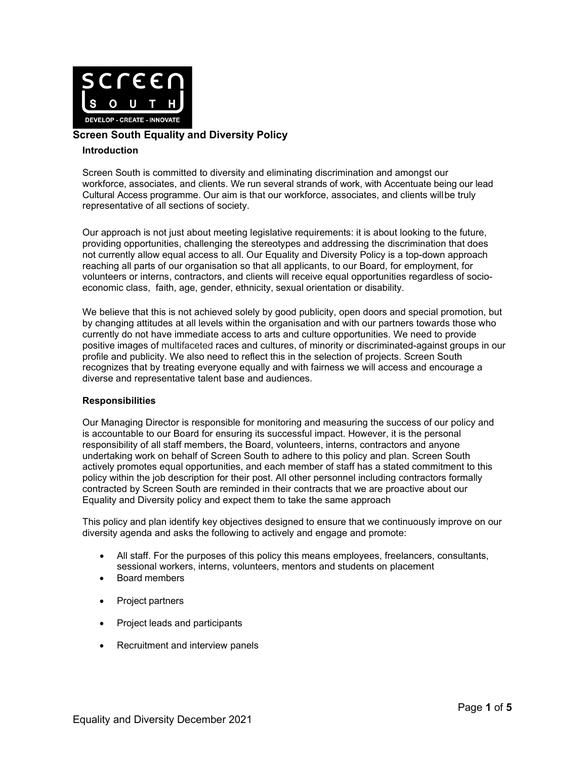

# **Screen South Equality and Diversity Policy**

### **Introduction**

Screen South is committed to diversity and eliminating discrimination and amongst our workforce, associates, and clients. We run several strands of work, with Accentuate being our lead Cultural Access programme. Our aim is that our workforce, associates, and clients will be truly representative of all sections of society.

Our approach is not just about meeting legislative requirements: it is about looking to the future, providing opportunities, challenging the stereotypes and addressing the discrimination that does not currently allow equal access to all. Our Equality and Diversity Policy is a top-down approach reaching all parts of our organisation so that all applicants, to our Board, for employment, for volunteers or interns, contractors, and clients will receive equal opportunities regardless of socioeconomic class, faith, age, gender, ethnicity, sexual orientation or disability.

We believe that this is not achieved solely by good publicity, open doors and special promotion, but by changing attitudes at all levels within the organisation and with our partners towards those who currently do not have immediate access to arts and culture opportunities. We need to provide positive images of multifaceted races and cultures, of minority or discriminated-against groups in our profile and publicity. We also need to reflect this in the selection of projects. Screen South recognizes that by treating everyone equally and with fairness we will access and encourage a diverse and representative talent base and audiences.

### **Responsibilities**

Our Managing Director is responsible for monitoring and measuring the success of our policy and is accountable to our Board for ensuring its successful impact. However, it is the personal responsibility of all staff members, the Board, volunteers, interns, contractors and anyone undertaking work on behalf of Screen South to adhere to this policy and plan. Screen South actively promotes equal opportunities, and each member of staff has a stated commitment to this policy within the job description for their post. All other personnel including contractors formally contracted by Screen South are reminded in their contracts that we are proactive about our Equality and Diversity policy and expect them to take the same approach

This policy and plan identify key objectives designed to ensure that we continuously improve on our diversity agenda and asks the following to actively and engage and promote:

- All staff. For the purposes of this policy this means employees, freelancers, consultants, sessional workers, interns, volunteers, mentors and students on placement
- Board members
- Project partners
- Project leads and participants
- Recruitment and interview panels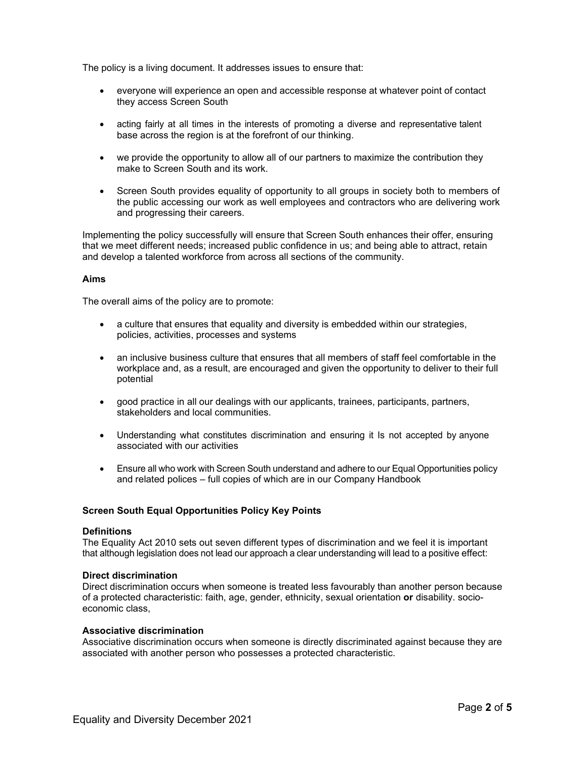The policy is a living document. It addresses issues to ensure that:

- everyone will experience an open and accessible response at whatever point of contact they access Screen South
- acting fairly at all times in the interests of promoting a diverse and representative talent base across the region is at the forefront of our thinking.
- we provide the opportunity to allow all of our partners to maximize the contribution they make to Screen South and its work.
- Screen South provides equality of opportunity to all groups in society both to members of the public accessing our work as well employees and contractors who are delivering work and progressing their careers.

Implementing the policy successfully will ensure that Screen South enhances their offer, ensuring that we meet different needs; increased public confidence in us; and being able to attract, retain and develop a talented workforce from across all sections of the community.

### **Aims**

The overall aims of the policy are to promote:

- a culture that ensures that equality and diversity is embedded within our strategies, policies, activities, processes and systems
- an inclusive business culture that ensures that all members of staff feel comfortable in the workplace and, as a result, are encouraged and given the opportunity to deliver to their full potential
- good practice in all our dealings with our applicants, trainees, participants, partners, stakeholders and local communities.
- Understanding what constitutes discrimination and ensuring it Is not accepted by anyone associated with our activities
- Ensure all who work with Screen South understand and adhere to our Equal Opportunities policy and related polices – full copies of which are in our Company Handbook

## **Screen South Equal Opportunities Policy Key Points**

#### **Definitions**

The Equality Act 2010 sets out seven different types of discrimination and we feel it is important that although legislation does not lead our approach a clear understanding will lead to a positive effect:

#### **Direct discrimination**

Direct discrimination occurs when someone is treated less favourably than another person because of a protected characteristic: faith, age, gender, ethnicity, sexual orientation **or** disability. socioeconomic class,

#### **Associative discrimination**

Associative discrimination occurs when someone is directly discriminated against because they are associated with another person who possesses a protected characteristic.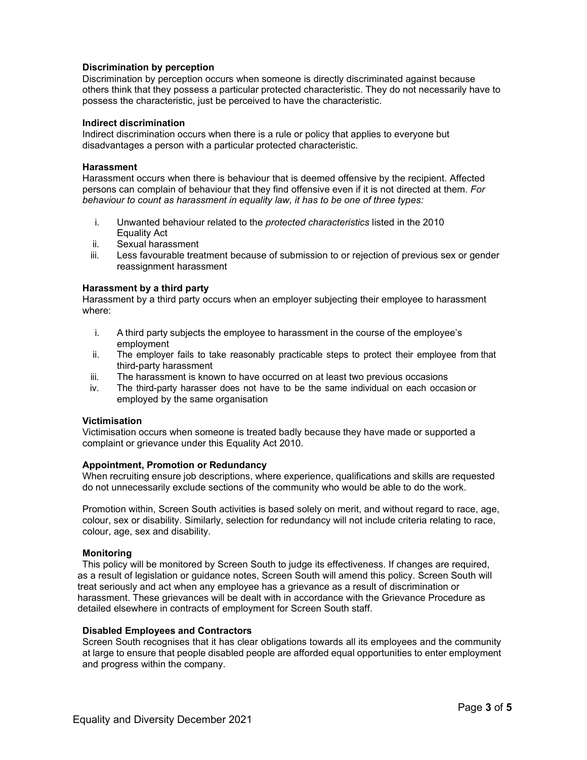### **Discrimination by perception**

Discrimination by perception occurs when someone is directly discriminated against because others think that they possess a particular protected characteristic. They do not necessarily have to possess the characteristic, just be perceived to have the characteristic.

### **Indirect discrimination**

Indirect discrimination occurs when there is a rule or policy that applies to everyone but disadvantages a person with a particular protected characteristic.

### **Harassment**

Harassment occurs when there is behaviour that is deemed offensive by the recipient. Affected persons can complain of behaviour that they find offensive even if it is not directed at them. *For behaviour to count as harassment in equality law, it has to be one of three types:*

- i. Unwanted behaviour related to the *protected characteristics* listed in the 2010 Equality Act
- ii. Sexual harassment
- iii. Less favourable treatment because of submission to or rejection of previous sex or gender reassignment harassment

### **Harassment by a third party**

Harassment by a third party occurs when an employer subjecting their employee to harassment where:

- i. A third party subjects the employee to harassment in the course of the employee's employment
- ii. The employer fails to take reasonably practicable steps to protect their employee from that third-party harassment
- iii. The harassment is known to have occurred on at least two previous occasions
- iv. The third-party harasser does not have to be the same individual on each occasion or employed by the same organisation

#### **Victimisation**

Victimisation occurs when someone is treated badly because they have made or supported a complaint or grievance under this Equality Act 2010.

### **Appointment, Promotion or Redundancy**

When recruiting ensure job descriptions, where experience, qualifications and skills are requested do not unnecessarily exclude sections of the community who would be able to do the work.

Promotion within, Screen South activities is based solely on merit, and without regard to race, age, colour, sex or disability. Similarly, selection for redundancy will not include criteria relating to race, colour, age, sex and disability.

#### **Monitoring**

This policy will be monitored by Screen South to judge its effectiveness. If changes are required, as a result of legislation or guidance notes, Screen South will amend this policy. Screen South will treat seriously and act when any employee has a grievance as a result of discrimination or harassment. These grievances will be dealt with in accordance with the Grievance Procedure as detailed elsewhere in contracts of employment for Screen South staff.

#### **Disabled Employees and Contractors**

Screen South recognises that it has clear obligations towards all its employees and the community at large to ensure that people disabled people are afforded equal opportunities to enter employment and progress within the company.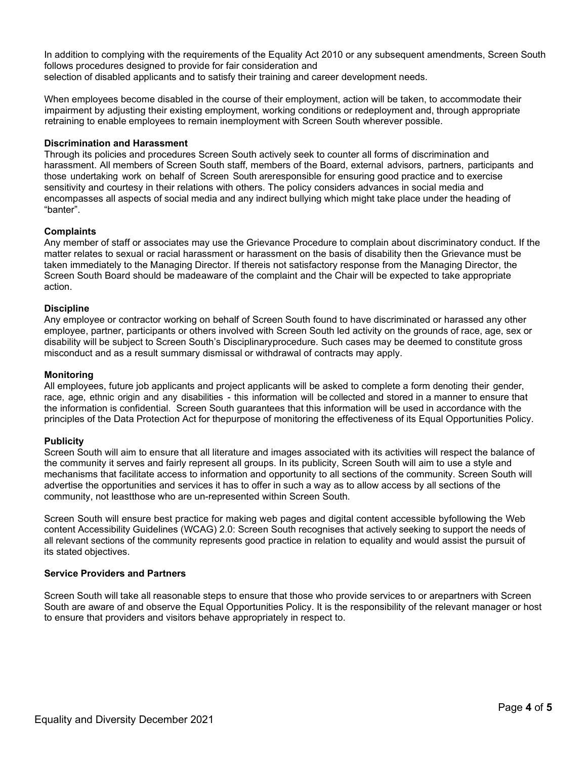In addition to complying with the requirements of the Equality Act 2010 or any subsequent amendments, Screen South follows procedures designed to provide for fair consideration and selection of disabled applicants and to satisfy their training and career development needs.

When employees become disabled in the course of their employment, action will be taken, to accommodate their impairment by adjusting their existing employment, working conditions or redeployment and, through appropriate retraining to enable employees to remain inemployment with Screen South wherever possible.

## **Discrimination and Harassment**

Through its policies and procedures Screen South actively seek to counter all forms of discrimination and harassment. All members of Screen South staff, members of the Board, external advisors, partners, participants and those undertaking work on behalf of Screen South areresponsible for ensuring good practice and to exercise sensitivity and courtesy in their relations with others. The policy considers advances in social media and encompasses all aspects of social media and any indirect bullying which might take place under the heading of "banter".

## **Complaints**

Any member of staff or associates may use the Grievance Procedure to complain about discriminatory conduct. If the matter relates to sexual or racial harassment or harassment on the basis of disability then the Grievance must be taken immediately to the Managing Director. If thereis not satisfactory response from the Managing Director, the Screen South Board should be madeaware of the complaint and the Chair will be expected to take appropriate action.

## **Discipline**

Any employee or contractor working on behalf of Screen South found to have discriminated or harassed any other employee, partner, participants or others involved with Screen South led activity on the grounds of race, age, sex or disability will be subject to Screen South's Disciplinaryprocedure. Such cases may be deemed to constitute gross misconduct and as a result summary dismissal or withdrawal of contracts may apply.

### **Monitoring**

All employees, future job applicants and project applicants will be asked to complete a form denoting their gender, race, age, ethnic origin and any disabilities - this information will be collected and stored in a manner to ensure that the information is confidential. Screen South guarantees that this information will be used in accordance with the principles of the Data Protection Act for thepurpose of monitoring the effectiveness of its Equal Opportunities Policy.

### **Publicity**

Screen South will aim to ensure that all literature and images associated with its activities will respect the balance of the community it serves and fairly represent all groups. In its publicity, Screen South will aim to use a style and mechanisms that facilitate access to information and opportunity to all sections of the community. Screen South will advertise the opportunities and services it has to offer in such a way as to allow access by all sections of the community, not leastthose who are un-represented within Screen South.

Screen South will ensure best practice for making web pages and digital content accessible byfollowing the Web content Accessibility Guidelines (WCAG) 2.0: Screen South recognises that actively seeking to support the needs of all relevant sections of the community represents good practice in relation to equality and would assist the pursuit of its stated objectives.

### **Service Providers and Partners**

Screen South will take all reasonable steps to ensure that those who provide services to or arepartners with Screen South are aware of and observe the Equal Opportunities Policy. It is the responsibility of the relevant manager or host to ensure that providers and visitors behave appropriately in respect to.